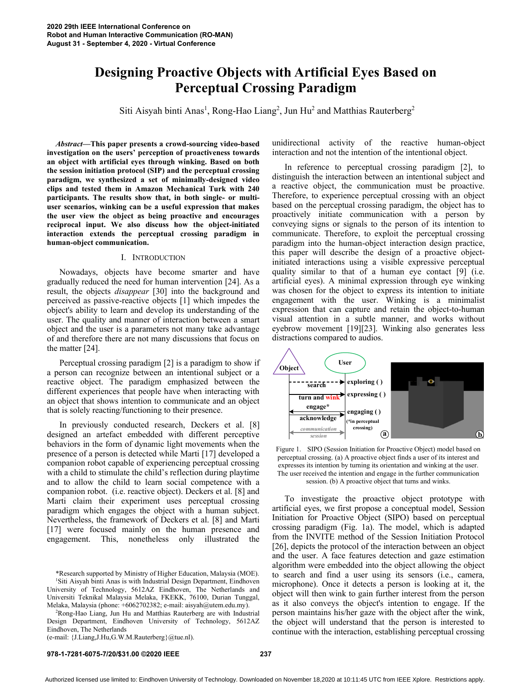# **Designing Proactive Objects with Artificial Eyes Based on Perceptual Crossing Paradigm**

Siti Aisyah binti Anas<sup>1</sup>, Rong-Hao Liang<sup>2</sup>, Jun Hu<sup>2</sup> and Matthias Rauterberg<sup>2</sup>

*Abstract***—This paper presents a crowd-sourcing video-based investigation on the users' perception of proactiveness towards an object with artificial eyes through winking. Based on both the session initiation protocol (SIP) and the perceptual crossing paradigm, we synthesized a set of minimally-designed video clips and tested them in Amazon Mechanical Turk with 240 participants. The results show that, in both single- or multiuser scenarios, winking can be a useful expression that makes the user view the object as being proactive and encourages reciprocal input. We also discuss how the object-initiated interaction extends the perceptual crossing paradigm in human-object communication.**

## I. INTRODUCTION

Nowadays, objects have become smarter and have gradually reduced the need for human intervention [24]. As a result, the objects *disappear* [30] into the background and perceived as passive-reactive objects [1] which impedes the object's ability to learn and develop its understanding of the user. The quality and manner of interaction between a smart object and the user is a parameters not many take advantage of and therefore there are not many discussions that focus on the matter [24].

Perceptual crossing paradigm [2] is a paradigm to show if a person can recognize between an intentional subject or a reactive object. The paradigm emphasized between the different experiences that people have when interacting with an object that shows intention to communicate and an object that is solely reacting/functioning to their presence.

In previously conducted research, Deckers et al. [8] designed an artefact embedded with different perceptive behaviors in the form of dynamic light movements when the presence of a person is detected while Marti [17] developed a companion robot capable of experiencing perceptual crossing with a child to stimulate the child's reflection during playtime and to allow the child to learn social competence with a companion robot. (i.e. reactive object). Deckers et al. [8] and Marti claim their experiment uses perceptual crossing paradigm which engages the object with a human subject. Nevertheless, the framework of Deckers et al. [8] and Marti [17] were focused mainly on the human presence and engagement. This, nonetheless only illustrated the

\*Research supported by Ministry of Higher Education, Malaysia (MOE). <sup>1</sup>Siti Aisyah binti Anas is with Industrial Design Department, Eindhoven University of Technology, 5612AZ Eindhoven, The Netherlands and Universiti Teknikal Malaysia Melaka, FKEKK, 76100, Durian Tunggal, Melaka, Malaysia (phone: +6062702382; e-mail: aisyah@utem.edu.my).

<sup>2</sup>Rong-Hao Liang, Jun Hu and Matthias Rauterberg are with Industrial Design Department, Eindhoven University of Technology, 5612AZ Eindhoven, The Netherlands

(e-mail: {J.Liang,J.Hu,G.W.M.Rauterberg}@tue.nl).

unidirectional activity of the reactive human-object interaction and not the intention of the intentional object.

In reference to perceptual crossing paradigm [2], to distinguish the interaction between an intentional subject and a reactive object, the communication must be proactive. Therefore, to experience perceptual crossing with an object based on the perceptual crossing paradigm, the object has to proactively initiate communication with a person by conveying signs or signals to the person of its intention to communicate. Therefore, to exploit the perceptual crossing paradigm into the human-object interaction design practice, this paper will describe the design of a proactive objectinitiated interactions using a visible expressive perceptual quality similar to that of a human eye contact [9] (i.e. artificial eyes). A minimal expression through eye winking was chosen for the object to express its intention to initiate engagement with the user. Winking is a minimalist expression that can capture and retain the object-to-human visual attention in a subtle manner, and works without eyebrow movement [19][23]. Winking also generates less distractions compared to audios.



Figure 1. SIPO (Session Initiation for Proactive Object) model based on perceptual crossing. (a) A proactive object finds a user of its interest and expresses its intention by turning its orientation and winking at the user. The user received the intention and engage in the further communication session. (b) A proactive object that turns and winks.

To investigate the proactive object prototype with artificial eyes, we first propose a conceptual model, Session Initiation for Proactive Object (SIPO) based on perceptual crossing paradigm (Fig. 1a). The model, which is adapted from the INVITE method of the Session Initiation Protocol [26], depicts the protocol of the interaction between an object and the user. A face features detection and gaze estimation algorithm were embedded into the object allowing the object to search and find a user using its sensors (i.e., camera, microphone). Once it detects a person is looking at it, the object will then wink to gain further interest from the person as it also conveys the object's intention to engage. If the person maintains his/her gaze with the object after the wink, the object will understand that the person is interested to continue with the interaction, establishing perceptual crossing

## **978-1-7281-6075-7/20/\$31.00 ©2020 IEEE 237**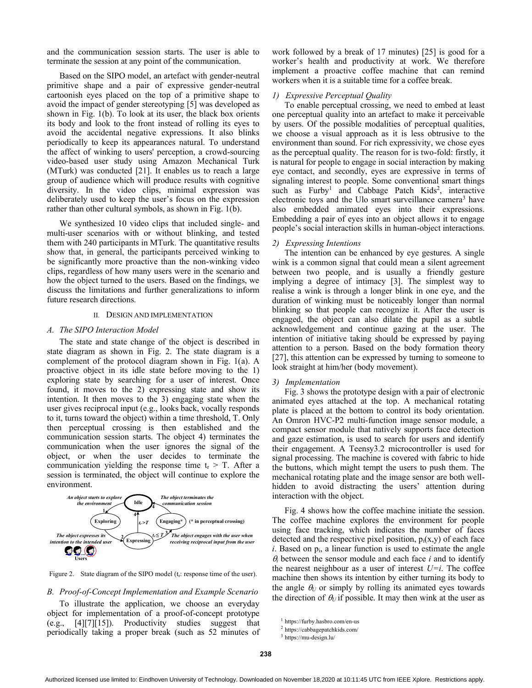and the communication session starts. The user is able to terminate the session at any point of the communication.

Based on the SIPO model, an artefact with gender-neutral primitive shape and a pair of expressive gender-neutral cartoonish eyes placed on the top of a primitive shape to avoid the impact of gender stereotyping [5] was developed as shown in Fig. 1(b). To look at its user, the black box orients its body and look to the front instead of rolling its eyes to avoid the accidental negative expressions. It also blinks periodically to keep its appearances natural. To understand the affect of winking to users' perception, a crowd-sourcing video-based user study using Amazon Mechanical Turk (MTurk) was conducted [21]. It enables us to reach a large group of audience which will produce results with cognitive diversity. In the video clips, minimal expression was deliberately used to keep the user's focus on the expression rather than other cultural symbols, as shown in Fig. 1(b).

We synthesized 10 video clips that included single- and multi-user scenarios with or without blinking, and tested them with 240 participants in MTurk. The quantitative results show that, in general, the participants perceived winking to be significantly more proactive than the non-winking video clips, regardless of how many users were in the scenario and how the object turned to the users. Based on the findings, we discuss the limitations and further generalizations to inform future research directions.

## II. DESIGN AND IMPLEMENTATION

#### *A. The SIPO Interaction Model*

The state and state change of the object is described in state diagram as shown in Fig. 2. The state diagram is a complement of the protocol diagram shown in Fig. 1(a). A proactive object in its idle state before moving to the 1) exploring state by searching for a user of interest. Once found, it moves to the 2) expressing state and show its intention. It then moves to the 3) engaging state when the user gives reciprocal input (e.g., looks back, vocally responds to it, turns toward the object) within a time threshold, T. Only then perceptual crossing is then established and the communication session starts. The object 4) terminates the communication when the user ignores the signal of the object, or when the user decides to terminate the communication yielding the response time  $t_r > T$ . After a session is terminated, the object will continue to explore the environment.



Figure 2. State diagram of the SIPO model (t<sub>r</sub>: response time of the user).

## *B. Proof-of-Concept Implementation and Example Scenario*

To illustrate the application, we choose an everyday object for implementation of a proof-of-concept prototype (e.g., [4][7][15]). Productivity studies suggest that periodically taking a proper break (such as 52 minutes of work followed by a break of 17 minutes) [25] is good for a worker's health and productivity at work. We therefore implement a proactive coffee machine that can remind workers when it is a suitable time for a coffee break.

# *1) Expressive Perceptual Quality*

To enable perceptual crossing, we need to embed at least one perceptual quality into an artefact to make it perceivable by users. Of the possible modalities of perceptual qualities, we choose a visual approach as it is less obtrusive to the environment than sound. For rich expressivity, we chose eyes as the perceptual quality. The reason for is two-fold: firstly, it is natural for people to engage in social interaction by making eye contact, and secondly, eyes are expressive in terms of signaling interest to people. Some conventional smart things such as Furby<sup>1</sup> and Cabbage Patch Kids<sup>2</sup>, interactive electronic toys and the Ulo smart surveillance camera<sup>3</sup> have also embedded animated eyes into their expressions. Embedding a pair of eyes into an object allows it to engage people's social interaction skills in human-object interactions.

#### *2) Expressing Intentions*

The intention can be enhanced by eye gestures. A single wink is a common signal that could mean a silent agreement between two people, and is usually a friendly gesture implying a degree of intimacy [3]. The simplest way to realise a wink is through a longer blink in one eye, and the duration of winking must be noticeably longer than normal blinking so that people can recognize it. After the user is engaged, the object can also dilate the pupil as a subtle acknowledgement and continue gazing at the user. The intention of initiative taking should be expressed by paying attention to a person. Based on the body formation theory [27], this attention can be expressed by turning to someone to look straight at him/her (body movement).

#### *3) Implementation*

Fig. 3 shows the prototype design with a pair of electronic animated eyes attached at the top. A mechanical rotating plate is placed at the bottom to control its body orientation. An Omron HVC-P2 multi-function image sensor module, a compact sensor module that natively supports face detection and gaze estimation, is used to search for users and identify their engagement. A Teensy3.2 microcontroller is used for signal processing. The machine is covered with fabric to hide the buttons, which might tempt the users to push them. The mechanical rotating plate and the image sensor are both wellhidden to avoid distracting the users' attention during interaction with the object.

Fig. 4 shows how the coffee machine initiate the session. The coffee machine explores the environment for people using face tracking, which indicates the number of faces detected and the respective pixel position,  $p_i(x,y)$  of each face  $i$ . Based on  $p_i$ , a linear function is used to estimate the angle  $\theta_i$  between the sensor module and each face *i* and to identify the nearest neighbour as a user of interest  $U=i$ . The coffee machine then shows its intention by either turning its body to the angle  $\theta_U$  or simply by rolling its animated eyes towards the direction of  $\theta_U$  if possible. It may then wink at the user as

<sup>1</sup> https://furby.hasbro.com/en-us

<sup>2</sup> https://cabbagepatchkids.com/

<sup>3</sup> https://mu-design.lu/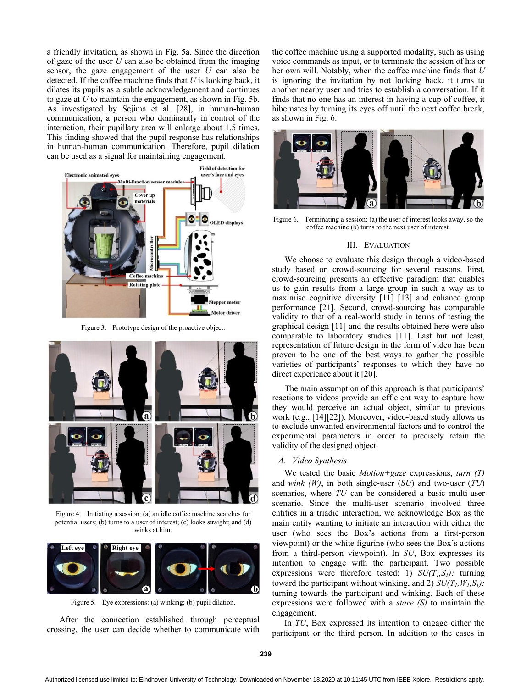a friendly invitation, as shown in Fig. 5a. Since the direction of gaze of the user *U* can also be obtained from the imaging sensor, the gaze engagement of the user *U* can also be detected. If the coffee machine finds that *U* is looking back, it dilates its pupils as a subtle acknowledgement and continues to gaze at *U* to maintain the engagement, as shown in Fig. 5b. As investigated by Sejima et al. [28], in human-human communication, a person who dominantly in control of the interaction, their pupillary area will enlarge about 1.5 times. This finding showed that the pupil response has relationships in human-human communication. Therefore, pupil dilation can be used as a signal for maintaining engagement.



Figure 3. Prototype design of the proactive object.



Figure 4. Initiating a session: (a) an idle coffee machine searches for potential users; (b) turns to a user of interest; (c) looks straight; and (d) winks at him.



Figure 5. Eye expressions: (a) winking; (b) pupil dilation.

After the connection established through perceptual crossing, the user can decide whether to communicate with

the coffee machine using a supported modality, such as using voice commands as input, or to terminate the session of his or her own will. Notably, when the coffee machine finds that *U*  is ignoring the invitation by not looking back, it turns to another nearby user and tries to establish a conversation. If it finds that no one has an interest in having a cup of coffee, it hibernates by turning its eyes off until the next coffee break, as shown in Fig. 6.



Figure 6. Terminating a session: (a) the user of interest looks away, so the coffee machine (b) turns to the next user of interest.

### III. EVALUATION

We choose to evaluate this design through a video-based study based on crowd-sourcing for several reasons. First, crowd-sourcing presents an effective paradigm that enables us to gain results from a large group in such a way as to maximise cognitive diversity [11] [13] and enhance group performance [21]. Second, crowd-sourcing has comparable validity to that of a real-world study in terms of testing the graphical design [11] and the results obtained here were also comparable to laboratory studies [11]. Last but not least, representation of future design in the form of video has been proven to be one of the best ways to gather the possible varieties of participants' responses to which they have no direct experience about it [20].

The main assumption of this approach is that participants' reactions to videos provide an efficient way to capture how they would perceive an actual object, similar to previous work (e.g., [14][22]). Moreover, video-based study allows us to exclude unwanted environmental factors and to control the experimental parameters in order to precisely retain the validity of the designed object.

## *A. Video Synthesis*

We tested the basic *Motion+gaze* expressions, *turn (T)* and *wink (W)*, in both single-user (*SU*) and two-user (*TU*) scenarios, where *TU* can be considered a basic multi-user scenario. Since the multi-user scenario involved three entities in a triadic interaction, we acknowledge Box as the main entity wanting to initiate an interaction with either the user (who sees the Box's actions from a first-person viewpoint) or the white figurine (who sees the Box's actions from a third-person viewpoint). In *SU*, Box expresses its intention to engage with the participant. Two possible expressions were therefore tested: 1)  $SU(T_I, S_I)$ : turning toward the participant without winking, and 2)  $SU(T_1, W_1, S_1)$ : turning towards the participant and winking. Each of these expressions were followed with a *stare (S)* to maintain the engagement.

In *TU*, Box expressed its intention to engage either the participant or the third person. In addition to the cases in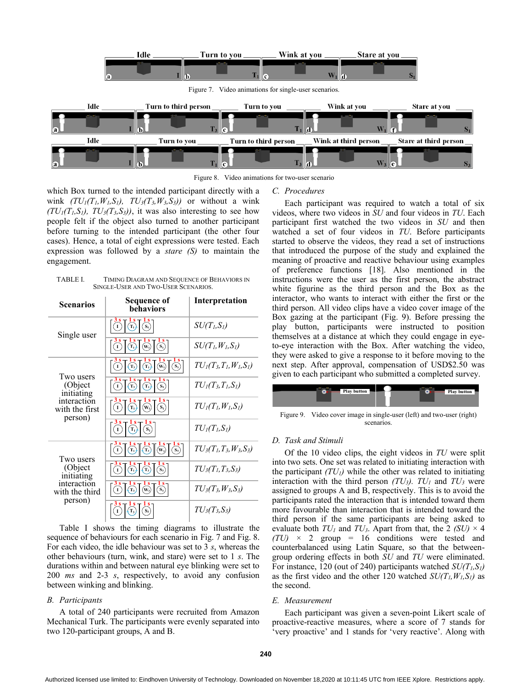

Figure 8. Video animations for two-user scenario

which Box turned to the intended participant directly with a wink  $(TU_1(T_1, W_1, S_1), TU_3(T_3, W_3, S_3))$  or without a wink  $(TU_1(T_1, S_1), TU_3(T_3, S_3))$ , it was also interesting to see how people felt if the object also turned to another participant before turning to the intended participant (the other four cases). Hence, a total of eight expressions were tested. Each expression was followed by a *stare (S)* to maintain the engagement.

| TABLE I. | TIMING DIAGRAM AND SEQUENCE OF BEHAVIORS IN |
|----------|---------------------------------------------|
|          | SINGLE-USER AND TWO-USER SCENARIOS.         |

| <b>Scenarios</b>              | <b>Sequence of</b><br>behaviors                                                                                                                                                                                                                                                                                                                                                                                                                                                    | Interpretation             |
|-------------------------------|------------------------------------------------------------------------------------------------------------------------------------------------------------------------------------------------------------------------------------------------------------------------------------------------------------------------------------------------------------------------------------------------------------------------------------------------------------------------------------|----------------------------|
| Single user                   | $\lceil \tilde{G} \rceil$<br>$\widehat{\textbf{T}_1}$                                                                                                                                                                                                                                                                                                                                                                                                                              | $SU(T_l,S_l)$              |
|                               | $\frac{1}{\binom{1}{1}} \binom{1}{\binom{N}{2}} \binom{1}{\binom{S_{1}}{S_{1}}}$<br>$\lbrack \mathring{\oplus}\rbrack$                                                                                                                                                                                                                                                                                                                                                             | $SU(T_I, W_I, S_I)$        |
| Two users                     | $\begin{bmatrix} 1.5 \\ 1.5 \end{bmatrix}$ $\begin{bmatrix} 1.5 \\ 0.5 \end{bmatrix}$ $\begin{bmatrix} 1.5 \\ 5. \end{bmatrix}$<br>$\left(\widehat{T_{3}}\right)$<br>$\mathbf{I}$                                                                                                                                                                                                                                                                                                  | $TU_I(T_3,T_I,W_I,S_I)$    |
| (Object)<br>initiating        | $\begin{bmatrix} 1\,\mathbf{s} \ \hline \mathbf{r} \ \hline \mathbf{r} \ \hline \mathbf{r} \ \hline \mathbf{r} \ \hline \mathbf{r} \ \hline \mathbf{r} \ \hline \mathbf{r} \ \hline \mathbf{r} \ \hline \mathbf{r} \ \hline \mathbf{r} \ \hline \mathbf{r} \ \hline \mathbf{r} \ \hline \mathbf{r} \ \hline \mathbf{r} \ \hline \mathbf{r} \ \hline \mathbf{r} \ \hline \mathbf{r} \ \hline \mathbf{r} \ \hline \mathbf{r} \ \hline \mathbf{r} \ \hline \math$<br>$\tilde{\Gamma}$ | $TU_I(T_3,T_I,S_I)$        |
| interaction<br>with the first | $\left(\widehat{\mathbf{W}}_{1}\right)$<br>$\vec{1}$<br>$(\mathbf{s}_1)$<br>$T_1$                                                                                                                                                                                                                                                                                                                                                                                                  | $TU_I(T_I, W_I, S_I)$      |
| person)                       | $\overline{s_i}$<br>$T_1$                                                                                                                                                                                                                                                                                                                                                                                                                                                          | $TU_I(T_I,S_I)$            |
| Two users                     | $T_1$ $(T_3)$<br>$\left(\widehat{\mathbf{W}}_3\right)$<br>$\mathbf{I}$                                                                                                                                                                                                                                                                                                                                                                                                             | $TU_3(T_1, T_3, W_3, S_3)$ |
| (Object<br>initiating         | $\left( \widehat{T_{3}}\right)$<br>$\binom{S_3}{}$<br>T<br>$\left[\text{T}_1\right]$                                                                                                                                                                                                                                                                                                                                                                                               | $TU_3(T_1, T_3, S_3)$      |
| interaction<br>with the third | $\overline{\binom{s}{s}}$<br>$\widehat{\mathrm{T}_{3}}$<br>$\left(\widehat{\mathbf{W}}_{3}\right)$<br>$\mathbf{I}$                                                                                                                                                                                                                                                                                                                                                                 | $TU_3(T_3, W_3, S_3)$      |
| person)                       |                                                                                                                                                                                                                                                                                                                                                                                                                                                                                    | $TU_3(T_3, S_3)$           |

Table I shows the timing diagrams to illustrate the sequence of behaviours for each scenario in Fig. 7 and Fig. 8. For each video, the idle behaviour was set to 3 *s*, whereas the other behaviours (turn, wink, and stare) were set to 1 *s*. The durations within and between natural eye blinking were set to 200 *ms* and 2-3 *s*, respectively, to avoid any confusion between winking and blinking.

## *B. Participants*

A total of 240 participants were recruited from Amazon Mechanical Turk. The participants were evenly separated into two 120-participant groups, A and B.

## *C. Procedures*

Each participant was required to watch a total of six videos, where two videos in *SU* and four videos in *TU*. Each participant first watched the two videos in *SU* and then watched a set of four videos in *TU*. Before participants started to observe the videos, they read a set of instructions that introduced the purpose of the study and explained the meaning of proactive and reactive behaviour using examples of preference functions [18]. Also mentioned in the instructions were the user as the first person, the abstract white figurine as the third person and the Box as the interactor, who wants to interact with either the first or the third person. All video clips have a video cover image of the Box gazing at the participant (Fig. 9). Before pressing the play button, participants were instructed to position themselves at a distance at which they could engage in eyeto-eye interaction with the Box. After watching the video, they were asked to give a response to it before moving to the next step. After approval, compensation of USD\$2.50 was given to each participant who submitted a completed survey.



Figure 9. Video cover image in single-user (left) and two-user (right) scenarios.

## *D. Task and Stimuli*

Of the 10 video clips, the eight videos in *TU* were split into two sets. One set was related to initiating interaction with the participant  $(TU_I)$  while the other was related to initiating interaction with the third person  $(TU_3)$ .  $TU_1$  and  $TU_3$  were assigned to groups A and B, respectively. This is to avoid the participants rated the interaction that is intended toward them more favourable than interaction that is intended toward the third person if the same participants are being asked to evaluate both  $TU_I$  and  $TU_3$ . Apart from that, the 2 *(SU)*  $\times$  4  $(TU) \times 2$  group = 16 conditions were tested and counterbalanced using Latin Square, so that the betweengroup ordering effects in both *SU* and *TU* were eliminated. For instance, 120 (out of 240) participants watched *SU(T1,S1)* as the first video and the other 120 watched  $SU(T_I, W_I, S_I)$  as the second.

#### *E. Measurement*

Each participant was given a seven-point Likert scale of proactive-reactive measures, where a score of 7 stands for 'very proactive' and 1 stands for 'very reactive'. Along with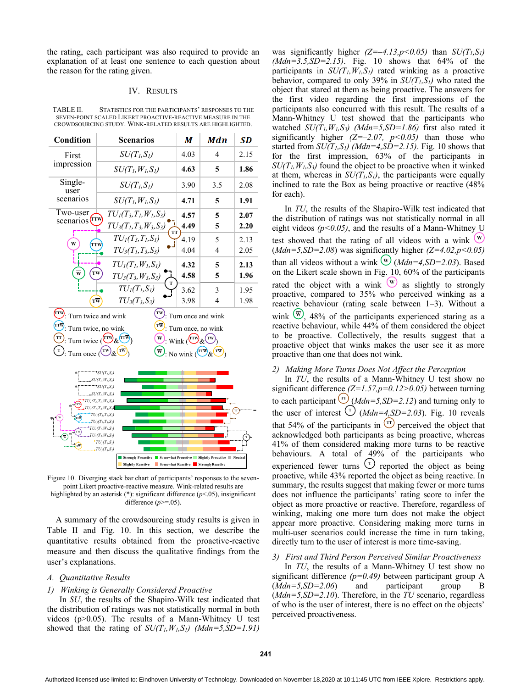the rating, each participant was also required to provide an explanation of at least one sentence to each question about the reason for the rating given.

#### IV. RESULTS

TABLE II. STATISTICS FOR THE PARTICIPANTS' RESPONSES TO THE SEVEN-POINT SCALED LIKERT PROACTIVE-REACTIVE MEASURE IN THE CROWDSOURCING STUDY. WINK-RELATED RESULTS ARE HIGHLIGHTED.



Figure 10. Diverging stack bar chart of participants' responses to the sevenpoint Likert proactive-reactive measure. Wink-related results are highlighted by an asterisk (\*): significant difference (*p*<.05), insignificant difference  $(p>=0.05)$ .

A summary of the crowdsourcing study results is given in Table II and Fig. 10. In this section, we describe the quantitative results obtained from the proactive-reactive measure and then discuss the qualitative findings from the user's explanations.

# *A. Quantitative Results*

## *1) Winking is Generally Considered Proactive*

In *SU*, the results of the Shapiro-Wilk test indicated that the distribution of ratings was not statistically normal in both videos (p>0.05). The results of a Mann-Whitney U test showed that the rating of  $SU(T_I, W_I, S_I)$  (Mdn=5,SD=1.91) was significantly higher  $(Z=-4.13, p<0.05)$  than  $SU(T_1, S_1)$ *(Mdn=3.5,SD=2.15)*. Fig. 10 shows that 64% of the participants in  $SU(T_I, W_I, S_I)$  rated winking as a proactive behavior, compared to only 39% in  $SU(T_l, S_l)$  who rated the object that stared at them as being proactive. The answers for the first video regarding the first impressions of the participants also concurred with this result. The results of a Mann-Whitney U test showed that the participants who watched  $SU(T_1, W_1, S_3)$  (Mdn=5, SD=1.86) first also rated it significantly higher *(Z=–2.07, p<0.05)* than those who started from  $SU(T_l, S_l)$  (Mdn=4, SD=2.15). Fig. 10 shows that for the first impression, 63% of the participants in  $SU(T_I, W_I, S_3)$  found the object to be proactive when it winked at them, whereas in  $SU(T_I, S_I)$ , the participants were equally inclined to rate the Box as being proactive or reactive (48% for each).

In *TU*, the results of the Shapiro-Wilk test indicated that the distribution of ratings was not statistically normal in all eight videos  $(p<0.05)$ , and the results of a Mann-Whitney U test showed that the rating of all videos with a wink  $\mathbb{W}$ (*Mdn=5,SD=2.08*) was significantly higher *(Z=4.02,p<0.05)* than all videos without a wink  $W$  (*Mdn*=4, *SD*=2.03). Based on the Likert scale shown in Fig. 10, 60% of the participants rated the object with a wink  $\mathbb{W}$  as slightly to strongly proactive, compared to 35% who perceived winking as a reactive behaviour (rating scale between 1–3). Without a wink  $W$ , 48% of the participants experienced staring as a reactive behaviour, while 44% of them considered the object to be proactive. Collectively, the results suggest that a proactive object that winks makes the user see it as more proactive than one that does not wink.

## *2) Making More Turns Does Not Affect the Perception*

In *TU*, the results of a Mann-Whitney U test show no significant difference *(Z=1.57,p=0.12>0.05)* between turning to each participant  $\binom{n}{k}$  (*Mdn*=5, *SD*=2.12) and turning only to the user of interest  $\bigcup_{n=1}^{\infty} (Mdn=4, SD=2.03)$ . Fig. 10 reveals that 54% of the participants in  $\binom{TT}{T}$  perceived the object that acknowledged both participants as being proactive, whereas 41% of them considered making more turns to be reactive behaviours. A total of 49% of the participants who experienced fewer turns  $\cup$  reported the object as being proactive, while 43% reported the object as being reactive. In summary, the results suggest that making fewer or more turns does not influence the participants' rating score to infer the object as more proactive or reactive. Therefore, regardless of winking, making one more turn does not make the object appear more proactive. Considering making more turns in multi-user scenarios could increase the time in turn taking, directly turn to the user of interest is more time-saving.

## *3) First and Third Person Perceived Similar Proactiveness*

In *TU*, the results of a Mann-Whitney U test show no significant difference *(p=0.49)* between participant group A (*Mdn=5,SD=2.06*) and participant group B (*Mdn=5,SD=2.10*). Therefore, in the *TU* scenario, regardless of who is the user of interest, there is no effect on the objects' perceived proactiveness.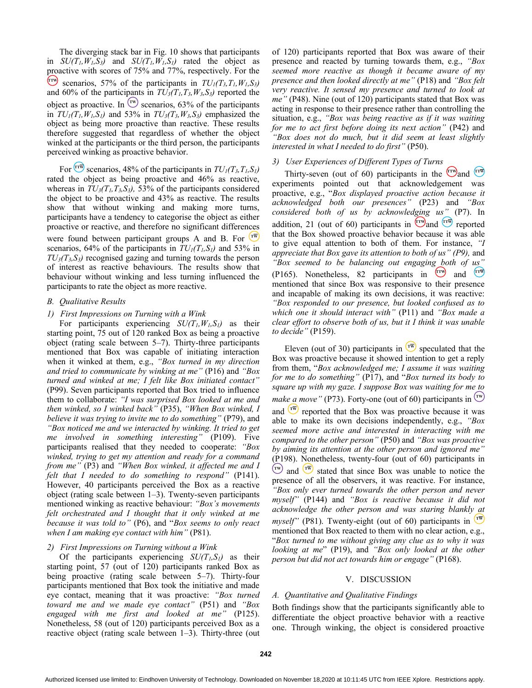The diverging stack bar in Fig. 10 shows that participants in  $SU(T_1, W_1, S_3)$  and  $SU(T_1, W_1, S_1)$  rated the object as proactive with scores of 75% and 77%, respectively. For the Frm scenarios, 57% of the participants in  $TU_1(T_3, T_1, W_1, S_3)$ and 60% of the participants in  $TU_3(T_1, T_3, W_3, S_3)$  reported the object as proactive. In  $\binom{rw}{w}$  scenarios, 63% of the participants in  $TU_1(T_1, W_1, S_1)$  and 53% in  $TU_3(T_3, W_3, S_3)$  emphasized the object as being more proactive than reactive. These results therefore suggested that regardless of whether the object winked at the participants or the third person, the participants perceived winking as proactive behavior.

For  $T'$  scenarios, 48% of the participants in  $TU_I(T_3, T_1, S_1)$ rated the object as being proactive and 46% as reactive, whereas in  $TU_3(T_1, T_3, S_3)$ , 53% of the participants considered the object to be proactive and 43% as reactive. The results show that without winking and making more turns, participants have a tendency to categorise the object as either proactive or reactive, and therefore no significant differences were found between participant groups A and B. For  $\frac{1}{\sqrt{N}}$ scenarios, 64% of the participants in  $TU_I(T_I, S_I)$  and 53% in  $TU_3(T_3, S_3)$  recognised gazing and turning towards the person of interest as reactive behaviours. The results show that behaviour without winking and less turning influenced the participants to rate the object as more reactive.

## *B. Qualitative Results*

## *1) First Impressions on Turning with a Wink*

For participants experiencing  $SU(T_1, W_1, S_1)$  as their starting point, 75 out of 120 ranked Box as being a proactive object (rating scale between 5–7). Thirty-three participants mentioned that Box was capable of initiating interaction when it winked at them, e.g., *"Box turned in my direction and tried to communicate by winking at me"* (P16) and *"Box turned and winked at me; I felt like Box initiated contact"* (P99). Seven participants reported that Box tried to influence them to collaborate: *"I was surprised Box looked at me and then winked, so I winked back"* (P35), *"When Box winked, I believe it was trying to invite me to do something"* (P79), and *"Box noticed me and we interacted by winking. It tried to get me involved in something interesting"* (P109). Five participants realised that they needed to cooperate: *"Box winked, trying to get my attention and ready for a command from me"* (P3) and *"When Box winked, it affected me and I felt that I needed to do something to respond"* (P141). However, 40 participants perceived the Box as a reactive object (rating scale between 1–3). Twenty-seven participants mentioned winking as reactive behaviour: *"Box's movements felt orchestrated and I thought that it only winked at me because it was told to"* (P6), and "*Box seems to only react when I am making eye contact with him"* (P81).

## *2) First Impressions on Turning without a Wink*

Of the participants experiencing  $SU(T_1, S_1)$  as their starting point, 57 (out of 120) participants ranked Box as being proactive (rating scale between 5–7). Thirty-four participants mentioned that Box took the initiative and made eye contact, meaning that it was proactive: *"Box turned toward me and we made eye contact"* (P51) and *"Box engaged with me first and looked at me"* (P125). Nonetheless, 58 (out of 120) participants perceived Box as a reactive object (rating scale between 1–3). Thirty-three (out

of 120) participants reported that Box was aware of their presence and reacted by turning towards them, e.g., *"Box seemed more reactive as though it became aware of my presence and then looked directly at me"* (P18) and *"Box felt very reactive. It sensed my presence and turned to look at me"* (P48). Nine (out of 120) participants stated that Box was acting in response to their presence rather than controlling the situation, e.g., *"Box was being reactive as if it was waiting for me to act first before doing its next action"* (P42) and *"Box does not do much, but it did seem at least slightly interested in what I needed to do first"* (P50).

## *3) User Experiences of Different Types of Turns*

Thirty-seven (out of 60) participants in the  $\text{triv}$  and  $\text{triv}$ experiments pointed out that acknowledgement was proactive, e.g., "*Box displayed proactive action because it acknowledged both our presences"* (P23) and *"Box considered both of us by acknowledging us"* (P7). In addition, 21 (out of 60) participants in  $\text{triv}$  and  $\text{triv}$  reported that the Box showed proactive behavior because it was able to give equal attention to both of them. For instance, *"I appreciate that Box gave its attention to both of us" (P9),* and *"Box seemed to be balancing out engaging both of us"* (P165). Nonetheless, 82 participants in  $\frac{(rrw)}{r}$  and  $\frac{(rrw)}{r}$ mentioned that since Box was responsive to their presence and incapable of making its own decisions, it was reactive: *"Box responded to our presence, but looked confused as to which one it should interact with"* (P11) and *"Box made a clear effort to observe both of us, but it I think it was unable to decide"* (P159).

Eleven (out of 30) participants in  $\overline{w}$  speculated that the Box was proactive because it showed intention to get a reply from them, "*Box acknowledged me; I assume it was waiting for me to do something"* (P17), and "*Box turned its body to square up with my gaze. I suppose Box was waiting for me to make a move*" (P73). Forty-one (out of 60) participants in  $\mathbb{C}^{\mathbb{N}}$ and **TW** reported that the Box was proactive because it was able to make its own decisions independently, e.g., *"Box seemed more active and interested in interacting with me compared to the other person"* (P50) and *"Box was proactive by aiming its attention at the other person and ignored me"* (P198). Nonetheless, twenty-four (out of 60) participants in  $T<sup>w</sup>$  and  $T<sup>w</sup>$  stated that since Box was unable to notice the presence of all the observers, it was reactive. For instance, *"Box only ever turned towards the other person and never myself"* (P144) and *"Box is reactive because it did not acknowledge the other person and was staring blankly at myself"* (P81). Twenty-eight (out of 60) participants in  $\overline{w}$ mentioned that Box reacted to them with no clear action, e.g., "*Box turned to me without giving any clue as to why it was looking at me*" (P19), and *"Box only looked at the other person but did not act towards him or engage"* (P168).

#### V. DISCUSSION

#### *A. Quantitative and Qualitative Findings*

Both findings show that the participants significantly able to differentiate the object proactive behavior with a reactive one. Through winking, the object is considered proactive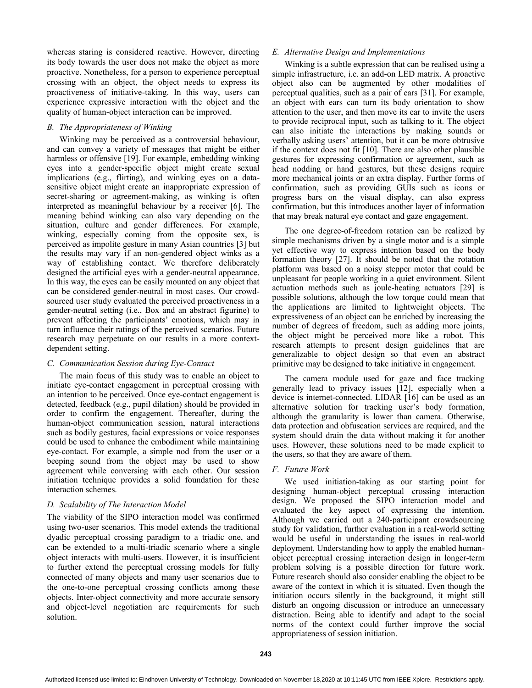whereas staring is considered reactive. However, directing its body towards the user does not make the object as more proactive. Nonetheless, for a person to experience perceptual crossing with an object, the object needs to express its proactiveness of initiative-taking. In this way, users can experience expressive interaction with the object and the quality of human-object interaction can be improved.

# *B. The Appropriateness of Winking*

Winking may be perceived as a controversial behaviour, and can convey a variety of messages that might be either harmless or offensive [19]. For example, embedding winking eyes into a gender-specific object might create sexual implications (e.g., flirting), and winking eyes on a datasensitive object might create an inappropriate expression of secret-sharing or agreement-making, as winking is often interpreted as meaningful behaviour by a receiver [6]. The meaning behind winking can also vary depending on the situation, culture and gender differences. For example, winking, especially coming from the opposite sex, is perceived as impolite gesture in many Asian countries [3] but the results may vary if an non-gendered object winks as a way of establishing contact. We therefore deliberately designed the artificial eyes with a gender-neutral appearance. In this way, the eyes can be easily mounted on any object that can be considered gender-neutral in most cases. Our crowdsourced user study evaluated the perceived proactiveness in a gender-neutral setting (i.e., Box and an abstract figurine) to prevent affecting the participants' emotions, which may in turn influence their ratings of the perceived scenarios. Future research may perpetuate on our results in a more contextdependent setting.

## *C. Communication Session during Eye-Contact*

The main focus of this study was to enable an object to initiate eye-contact engagement in perceptual crossing with an intention to be perceived. Once eye-contact engagement is detected, feedback (e.g., pupil dilation) should be provided in order to confirm the engagement. Thereafter, during the human-object communication session, natural interactions such as bodily gestures, facial expressions or voice responses could be used to enhance the embodiment while maintaining eye-contact. For example, a simple nod from the user or a beeping sound from the object may be used to show agreement while conversing with each other. Our session initiation technique provides a solid foundation for these interaction schemes.

# *D. Scalability of The Interaction Model*

The viability of the SIPO interaction model was confirmed using two-user scenarios. This model extends the traditional dyadic perceptual crossing paradigm to a triadic one, and can be extended to a multi-triadic scenario where a single object interacts with multi-users. However, it is insufficient to further extend the perceptual crossing models for fully connected of many objects and many user scenarios due to the one-to-one perceptual crossing conflicts among these objects. Inter-object connectivity and more accurate sensory and object-level negotiation are requirements for such solution.

# *E. Alternative Design and Implementations*

Winking is a subtle expression that can be realised using a simple infrastructure, i.e. an add-on LED matrix. A proactive object also can be augmented by other modalities of perceptual qualities, such as a pair of ears [31]. For example, an object with ears can turn its body orientation to show attention to the user, and then move its ear to invite the users to provide reciprocal input, such as talking to it. The object can also initiate the interactions by making sounds or verbally asking users' attention, but it can be more obtrusive if the context does not fit [10]. There are also other plausible gestures for expressing confirmation or agreement, such as head nodding or hand gestures, but these designs require more mechanical joints or an extra display. Further forms of confirmation, such as providing GUIs such as icons or progress bars on the visual display, can also express confirmation, but this introduces another layer of information that may break natural eye contact and gaze engagement.

The one degree-of-freedom rotation can be realized by simple mechanisms driven by a single motor and is a simple yet effective way to express intention based on the body formation theory [27]. It should be noted that the rotation platform was based on a noisy stepper motor that could be unpleasant for people working in a quiet environment. Silent actuation methods such as joule-heating actuators [29] is possible solutions, although the low torque could mean that the applications are limited to lightweight objects. The expressiveness of an object can be enriched by increasing the number of degrees of freedom, such as adding more joints, the object might be perceived more like a robot. This research attempts to present design guidelines that are generalizable to object design so that even an abstract primitive may be designed to take initiative in engagement.

The camera module used for gaze and face tracking generally lead to privacy issues [12], especially when a device is internet-connected. LIDAR [16] can be used as an alternative solution for tracking user's body formation, although the granularity is lower than camera. Otherwise, data protection and obfuscation services are required, and the system should drain the data without making it for another uses. However, these solutions need to be made explicit to the users, so that they are aware of them.

## *F. Future Work*

We used initiation-taking as our starting point for designing human-object perceptual crossing interaction design. We proposed the SIPO interaction model and evaluated the key aspect of expressing the intention. Although we carried out a 240-participant crowdsourcing study for validation, further evaluation in a real-world setting would be useful in understanding the issues in real-world deployment. Understanding how to apply the enabled humanobject perceptual crossing interaction design in longer-term problem solving is a possible direction for future work. Future research should also consider enabling the object to be aware of the context in which it is situated. Even though the initiation occurs silently in the background, it might still disturb an ongoing discussion or introduce an unnecessary distraction. Being able to identify and adapt to the social norms of the context could further improve the social appropriateness of session initiation.